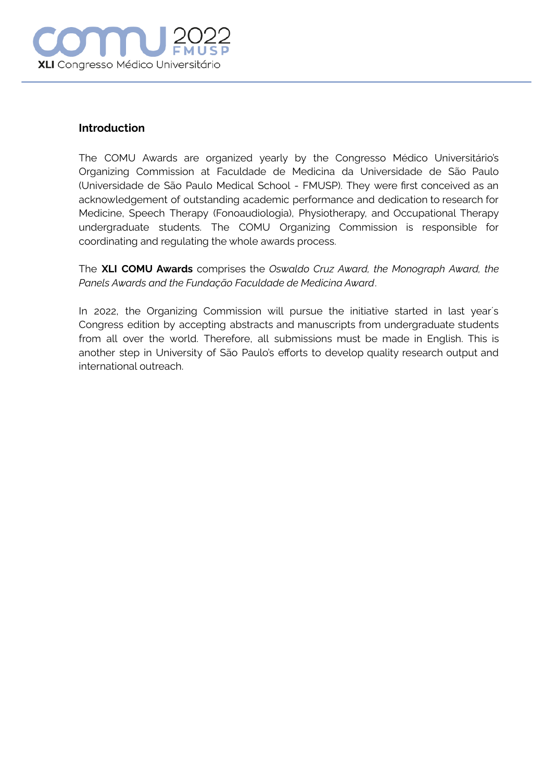

## **Introduction**

The COMU Awards are organized yearly by the Congresso Médico Universitário's Organizing Commission at Faculdade de Medicina da Universidade de São Paulo (Universidade de São Paulo Medical School - FMUSP). They were first conceived as an acknowledgement of outstanding academic performance and dedication to research for Medicine, Speech Therapy (Fonoaudiologia), Physiotherapy, and Occupational Therapy undergraduate students. The COMU Organizing Commission is responsible for coordinating and regulating the whole awards process.

The **XLI COMU Awards** comprises the *Oswaldo Cruz Award, the Monograph Award, the Panels Awards and the Fundação Faculdade de Medicina Award*.

In 2022, the Organizing Commission will pursue the initiative started in last year´s Congress edition by accepting abstracts and manuscripts from undergraduate students from all over the world. Therefore, all submissions must be made in English. This is another step in University of São Paulo's efforts to develop quality research output and international outreach.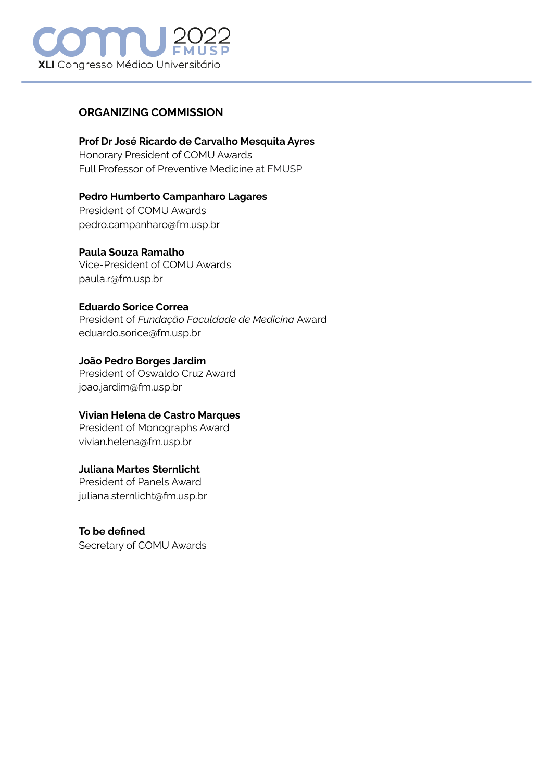

# **ORGANIZING COMMISSION**

# **Prof Dr José Ricardo de Carvalho Mesquita Ayres**

Honorary President of COMU Awards Full Professor of Preventive [Medicine](https://www.linguee.com.br/ingles-portugues/traducao/preventive+medicine.html) at FMUSP

# **Pedro Humberto Campanharo Lagares**

President of COMU Awards pedro.campanharo@fm.usp.br

# **Paula Souza Ramalho**

Vice-President of COMU Awards paula.r@fm.usp.br

# **Eduardo Sorice Correa**

President of *Fundação Faculdade de Medicina* Award eduardo.sorice@fm.usp.br

# **João Pedro Borges Jardim**

President of Oswaldo Cruz Award joao.jardim@fm.usp.br

# **Vivian Helena de Castro Marques**

President of Monographs Award vivian.helena@fm.usp.br

# **Juliana Martes Sternlicht**

President of Panels Award juliana.sternlicht@fm.usp.br

**To be defined** Secretary of COMU Awards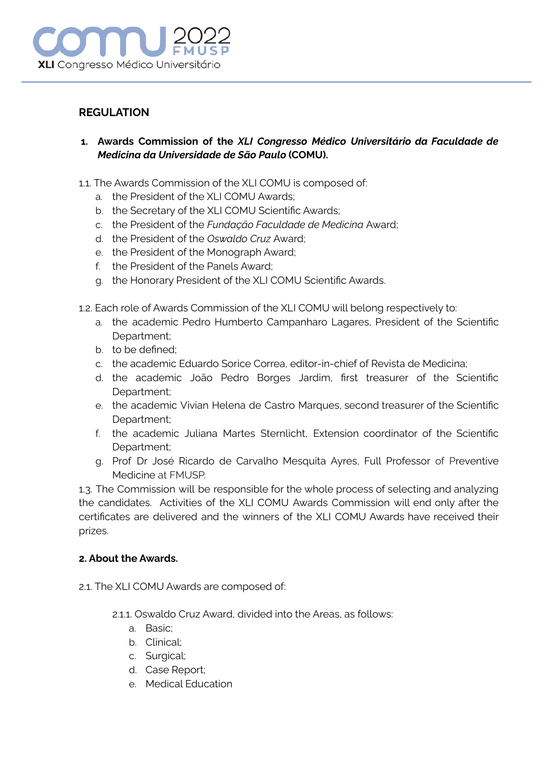

# **REGULATION**

- **1. Awards Commission of the** *XLI Congresso Médico Universitário da Faculdade de Medicina da Universidade de São Paulo* **(COMU).**
- 1.1. The Awards Commission of the XLI COMU is composed of:
	- a. the President of the XLI COMU Awards;
	- b. the Secretary of the XLI COMU Scientific Awards;
	- c. the President of the *Fundação Faculdade de Medicina* Award;
	- d. the President of the *Oswaldo Cruz* Award;
	- e. the President of the Monograph Award;
	- f. the President of the Panels Award;
	- g. the Honorary President of the XLI COMU Scientific Awards.
- 1.2. Each role of Awards Commission of the XLI COMU will belong respectively to:
	- a. the academic Pedro Humberto Campanharo Lagares, President of the Scientific Department;
	- b. to be defined;
	- c. the academic Eduardo Sorice Correa, editor-in-chief of Revista de Medicina;
	- d. the academic João Pedro Borges Jardim, first treasurer of the Scientific Department;
	- e. the academic Vivian Helena de Castro Marques, second treasurer of the Scientific Department;
	- f. the academic Juliana Martes Sternlicht, Extension coordinator of the Scientific Department;
	- g. Prof Dr José Ricardo de Carvalho Mesquita Ayres, Full Professor of [Preventive](https://www.linguee.com.br/ingles-portugues/traducao/preventive+medicine.html) [Medicine](https://www.linguee.com.br/ingles-portugues/traducao/preventive+medicine.html) at FMUSP.

1.3. The Commission will be responsible for the whole process of selecting and analyzing the candidates. Activities of the XLI COMU Awards Commission will end only after the certificates are delivered and the winners of the XLI COMU Awards have received their prizes.

#### **2. About the Awards.**

- 2.1. The XLI COMU Awards are composed of:
	- 2.1.1. Oswaldo Cruz Award, divided into the Areas, as follows:
		- a. Basic;
		- b. Clinical;
		- c. Surgical;
		- d. Case Report;
		- e. Medical Education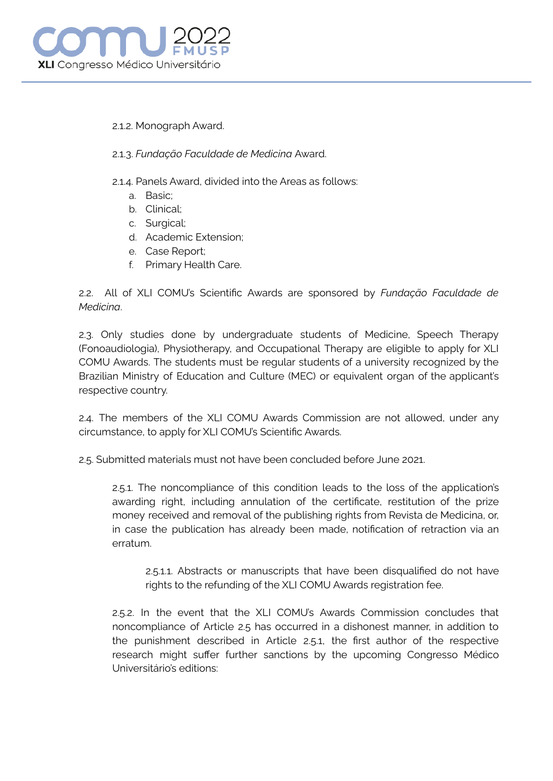

#### 2.1.2. Monograph Award.

## 2.1.3. *Fundação Faculdade de Medicina* Award.

- 2.1.4. Panels Award, divided into the Areas as follows:
	- a. Basic;
	- b. Clinical;
	- c. Surgical;
	- d. Academic Extension;
	- e. Case Report;
	- f. Primary Health Care.

2.2. All of XLI COMU's Scientific Awards are sponsored by *Fundação Faculdade de Medicina*.

2.3. Only studies done by undergraduate students of Medicine, Speech Therapy (Fonoaudiologia), Physiotherapy, and Occupational Therapy are eligible to apply for XLI COMU Awards. The students must be regular students of a university recognized by the Brazilian Ministry of Education and Culture (MEC) or equivalent organ of the applicant's respective country.

2.4. The members of the XLI COMU Awards Commission are not allowed, under any circumstance, to apply for XLI COMU's Scientific Awards.

2.5. Submitted materials must not have been concluded before June 2021.

2.5.1. The noncompliance of this condition leads to the loss of the application's awarding right, including annulation of the certificate, restitution of the prize money received and removal of the publishing rights from Revista de Medicina, or, in case the publication has already been made, notification of retraction via an erratum.

2.5.1.1. Abstracts or manuscripts that have been disqualified do not have rights to the refunding of the XLI COMU Awards registration fee.

2.5.2. In the event that the XLI COMU's Awards Commission concludes that noncompliance of Article 2.5 has occurred in a dishonest manner, in addition to the punishment described in Article 2.5.1, the first author of the respective research might suffer further sanctions by the upcoming Congresso Médico Universitário's editions: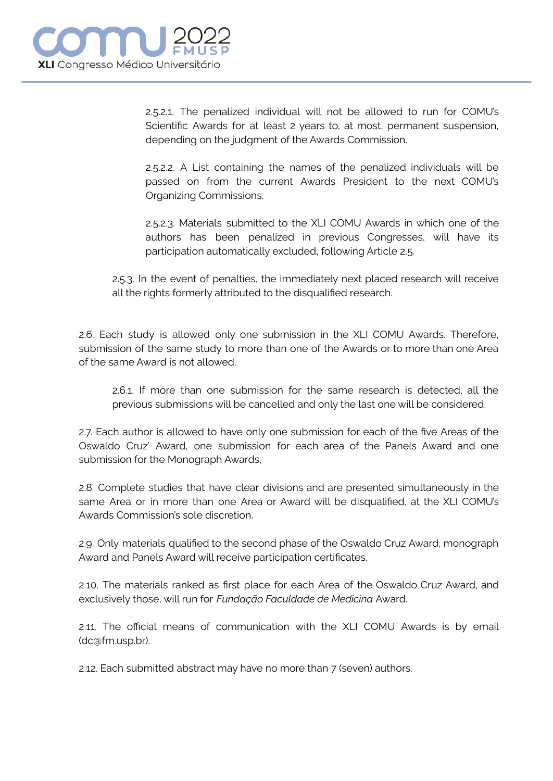

2.5.2.1. The penalized individual will not be allowed to run for COMU's Scientific Awards for at least 2 years to, at most, permanent suspension, depending on the judgment of the Awards Commission.

2.5.2.2. A List containing the names of the penalized individuals will be passed on from the current Awards President to the next COMU's Organizing Commissions.

2.5.2.3. Materials submitted to the XLI COMU Awards in which one of the authors has been penalized in previous Congresses, will have its participation automatically excluded, following Article 2.5.

2.5.3. In the event of penalties, the immediately next placed research will receive all the rights formerly attributed to the disqualified research.

2.6. Each study is allowed only one submission in the XLI COMU Awards. Therefore, submission of the same study to more than one of the Awards or to more than one Area of the same Award is not allowed.

2.6.1. If more than one submission for the same research is detected, all the previous submissions will be cancelled and only the last one will be considered.

2.7. Each author is allowed to have only one submission for each of the five Areas of the Oswaldo Cruz' Award, one submission for each area of the Panels Award and one submission for the Monograph Awards,

2.8. Complete studies that have clear divisions and are presented simultaneously in the same Area or in more than one Area or Award will be disqualified, at the XLI COMU's Awards Commission's sole discretion.

2.9. Only materials qualified to the second phase of the Oswaldo Cruz Award, monograph Award and Panels Award will receive participation certificates.

2.10. The materials ranked as first place for each Area of the Oswaldo Cruz Award, and exclusively those, will run for *Fundação Faculdade de Medicina* Award.

2.11. The official means of communication with the XLI COMU Awards is by email (dc@fm.usp.br).

2.12. Each submitted abstract may have no more than 7 (seven) authors.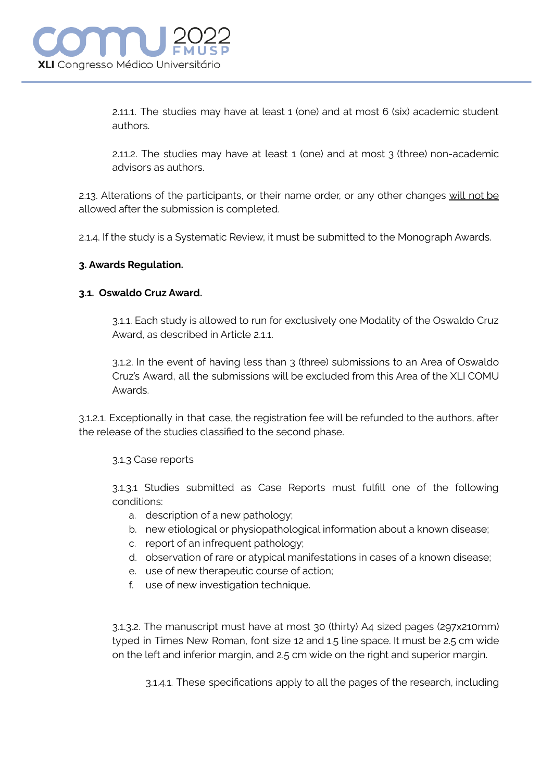2.11.1. The studies may have at least 1 (one) and at most 6 (six) academic student authors.

2.11.2. The studies may have at least 1 (one) and at most 3 (three) non-academic advisors as authors.

2.13. Alterations of the participants, or their name order, or any other changes will not be allowed after the submission is completed.

2.1.4. If the study is a Systematic Review, it must be submitted to the Monograph Awards.

# **3. Awards Regulation.**

# **3.1. Oswaldo Cruz Award.**

3.1.1. Each study is allowed to run for exclusively one Modality of the Oswaldo Cruz Award, as described in Article 211.

3.1.2. In the event of having less than 3 (three) submissions to an Area of Oswaldo Cruz's Award, all the submissions will be excluded from this Area of the XLI COMU Awards.

3.1.2.1. Exceptionally in that case, the registration fee will be refunded to the authors, after the release of the studies classified to the second phase.

#### 3.1.3 Case reports

3.1.3.1 Studies submitted as Case Reports must fulfill one of the following conditions:

- a. description of a new pathology;
- b. new etiological or physiopathological information about a known disease;
- c. report of an infrequent pathology;
- d. observation of rare or atypical manifestations in cases of a known disease;
- e. use of new therapeutic course of action;
- f. use of new investigation technique.

3.1.3.2. The manuscript must have at most 30 (thirty) A4 sized pages (297x210mm) typed in Times New Roman, font size 12 and 1.5 line space. It must be 2.5 cm wide on the left and inferior margin, and 2.5 cm wide on the right and superior margin.

3.1.4.1. These specifications apply to all the pages of the research, including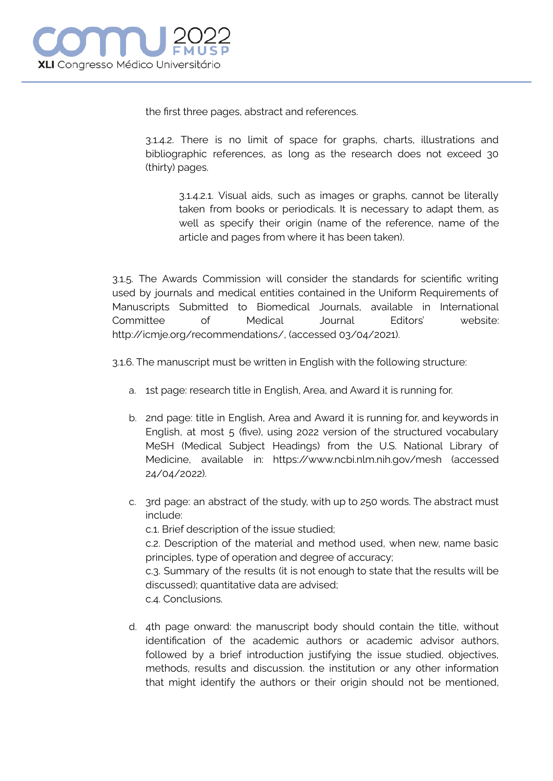the first three pages, abstract and references.

3.1.4.2. There is no limit of space for graphs, charts, illustrations and bibliographic references, as long as the research does not exceed 30 (thirty) pages.

3.1.4.2.1. Visual aids, such as images or graphs, cannot be literally taken from books or periodicals. It is necessary to adapt them, as well as specify their origin (name of the reference, name of the article and pages from where it has been taken).

3.1.5. The Awards Commission will consider the standards for scientific writing used by journals and medical entities contained in the Uniform Requirements of Manuscripts Submitted to Biomedical Journals, available in International Committee of Medical Journal Editors' website: http://icmje.org/recommendations/, (accessed 03/04/2021).

3.1.6. The manuscript must be written in English with the following structure:

- a. 1st page: research title in English, Area, and Award it is running for.
- b. 2nd page: title in English, Area and Award it is running for, and keywords in English, at most 5 (five), using 2022 version of the structured vocabulary MeSH (Medical Subject Headings) from the U.S. National Library of Medicine, available in: https://www.ncbi.nlm.nih.gov/mesh (accessed 24/04/2022).
- c. 3rd page: an abstract of the study, with up to 250 words. The abstract must include:

c.1. Brief description of the issue studied;

c.2. Description of the material and method used, when new, name basic principles, type of operation and degree of accuracy;

c.3. Summary of the results (it is not enough to state that the results will be discussed); quantitative data are advised;

c.4. Conclusions.

d. 4th page onward: the manuscript body should contain the title, without identification of the academic authors or academic advisor authors, followed by a brief introduction justifying the issue studied, objectives, methods, results and discussion. the institution or any other information that might identify the authors or their origin should not be mentioned,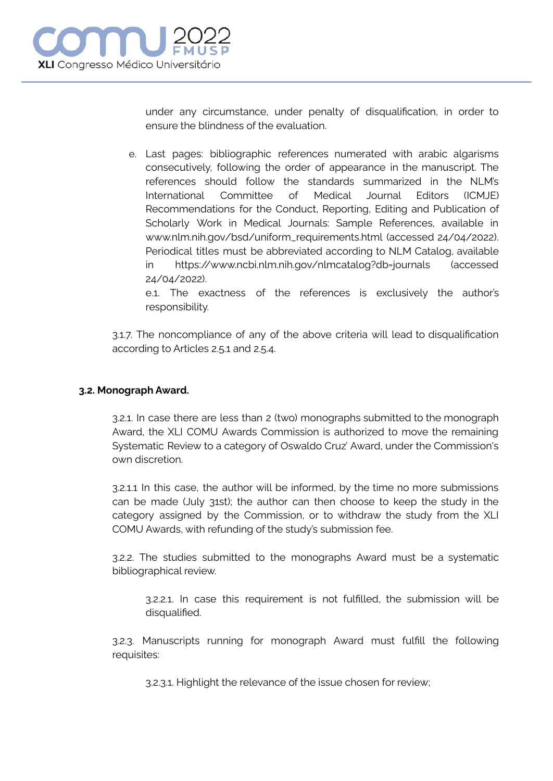

under any circumstance, under penalty of disqualification, in order to ensure the blindness of the evaluation.

e. Last pages: bibliographic references numerated with arabic algarisms consecutively, following the order of appearance in the manuscript. The references should follow the standards summarized in the NLM's International Committee of Medical Journal Editors (ICMJE) Recommendations for the Conduct, Reporting, Editing and Publication of Scholarly Work in Medical Journals: Sample References, available in www.nlm.nih.gov/bsd/uniform\_requirements.html (accessed 24/04/2022). Periodical titles must be abbreviated according to NLM Catalog, available in https://www.ncbi.nlm.nih.gov/nlmcatalog?db=journals (accessed 24/04/2022).

e.1. The exactness of the references is exclusively the author's responsibility.

3.1.7. The noncompliance of any of the above criteria will lead to disqualification according to Articles 2.5.1 and 2.5.4.

#### **3.2. Monograph Award.**

3.2.1. In case there are less than 2 (two) monographs submitted to the monograph Award, the XLI COMU Awards Commission is authorized to move the remaining Systematic Review to a category of Oswaldo Cruz' Award, under the Commission's own discretion.

3.2.1.1 In this case, the author will be informed, by the time no more submissions can be made (July 31st); the author can then choose to keep the study in the category assigned by the Commission, or to withdraw the study from the XLI COMU Awards, with refunding of the study's submission fee.

3.2.2. The studies submitted to the monographs Award must be a systematic bibliographical review.

3.2.2.1. In case this requirement is not fulfilled, the submission will be disqualified.

3.2.3. Manuscripts running for monograph Award must fulfill the following requisites:

3.2.3.1. Highlight the relevance of the issue chosen for review;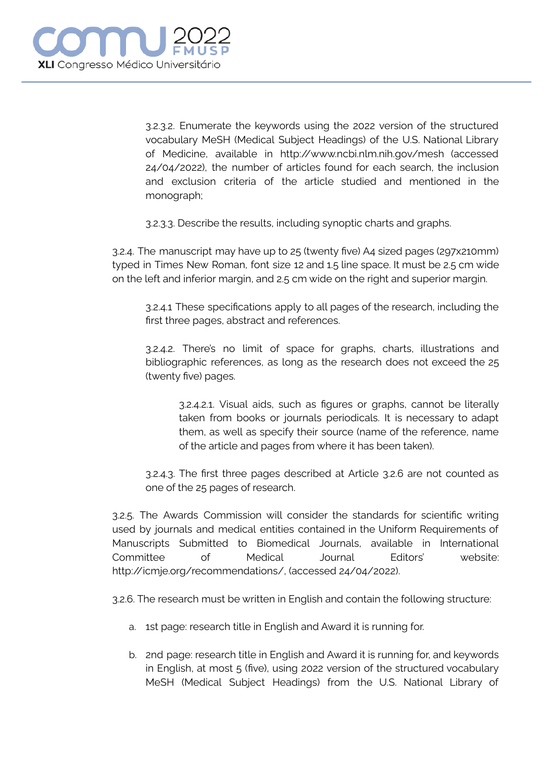3.2.3.2. Enumerate the keywords using the 2022 version of the structured vocabulary MeSH (Medical Subject Headings) of the U.S. National Library of Medicine, available in http://www.ncbi.nlm.nih.gov/mesh (accessed 24/04/2022), the number of articles found for each search, the inclusion and exclusion criteria of the article studied and mentioned in the monograph;

3.2.3.3. Describe the results, including synoptic charts and graphs.

3.2.4. The manuscript may have up to 25 (twenty five) A4 sized pages (297x210mm) typed in Times New Roman, font size 12 and 1.5 line space. It must be 2.5 cm wide on the left and inferior margin, and 2.5 cm wide on the right and superior margin.

3.2.4.1 These specifications apply to all pages of the research, including the first three pages, abstract and references.

3.2.4.2. There's no limit of space for graphs, charts, illustrations and bibliographic references, as long as the research does not exceed the 25 (twenty five) pages.

3.2.4.2.1. Visual aids, such as figures or graphs, cannot be literally taken from books or journals periodicals. It is necessary to adapt them, as well as specify their source (name of the reference, name of the article and pages from where it has been taken).

3.2.4.3. The first three pages described at Article 3.2.6 are not counted as one of the 25 pages of research.

3.2.5. The Awards Commission will consider the standards for scientific writing used by journals and medical entities contained in the Uniform Requirements of Manuscripts Submitted to Biomedical Journals, available in International Committee of Medical Journal Editors' website: http://icmje.org/recommendations/, (accessed 24/04/2022).

3.2.6. The research must be written in English and contain the following structure:

- a. 1st page: research title in English and Award it is running for.
- b. 2nd page: research title in English and Award it is running for, and keywords in English, at most 5 (five), using 2022 version of the structured vocabulary MeSH (Medical Subject Headings) from the U.S. National Library of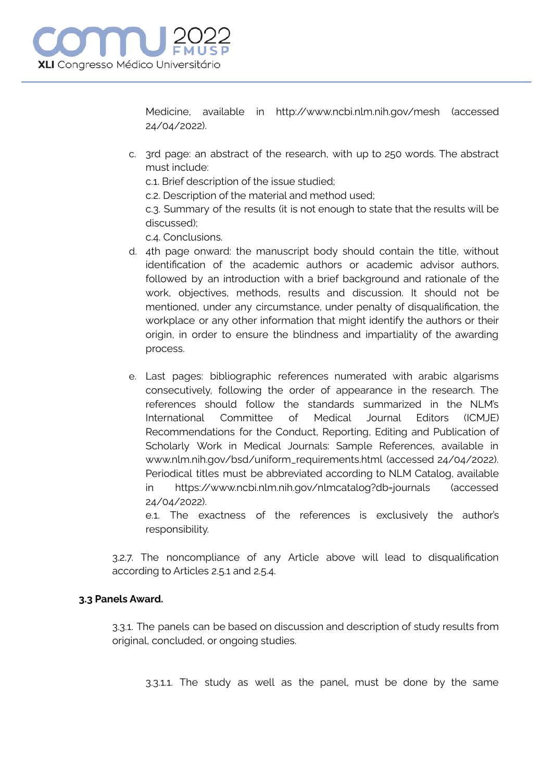Medicine, available in http://www.ncbi.nlm.nih.gov/mesh (accessed 24/04/2022).

- c. 3rd page: an abstract of the research, with up to 250 words. The abstract must include:
	- c.1. Brief description of the issue studied;
	- c.2. Description of the material and method used;

c.3. Summary of the results (it is not enough to state that the results will be discussed);

c.4. Conclusions.

- d. 4th page onward: the manuscript body should contain the title, without identification of the academic authors or academic advisor authors, followed by an introduction with a brief background and rationale of the work, objectives, methods, results and discussion. It should not be mentioned, under any circumstance, under penalty of disqualification, the workplace or any other information that might identify the authors or their origin, in order to ensure the blindness and impartiality of the awarding process.
- e. Last pages: bibliographic references numerated with arabic algarisms consecutively, following the order of appearance in the research. The references should follow the standards summarized in the NLM's International Committee of Medical Journal Editors (ICMJE) Recommendations for the Conduct, Reporting, Editing and Publication of Scholarly Work in Medical Journals: Sample References, available in www.nlm.nih.gov/bsd/uniform\_requirements.html (accessed 24/04/2022). Periodical titles must be abbreviated according to NLM Catalog, available in https://www.ncbi.nlm.nih.gov/nlmcatalog?db=journals (accessed 24/04/2022).

e.1. The exactness of the references is exclusively the author's responsibility.

3.2.7. The noncompliance of any Article above will lead to disqualification according to Articles 2.5.1 and 2.5.4.

# **3.3 Panels Award.**

3.3.1. The panels can be based on discussion and description of study results from original, concluded, or ongoing studies.

3.3.1.1. The study as well as the panel, must be done by the same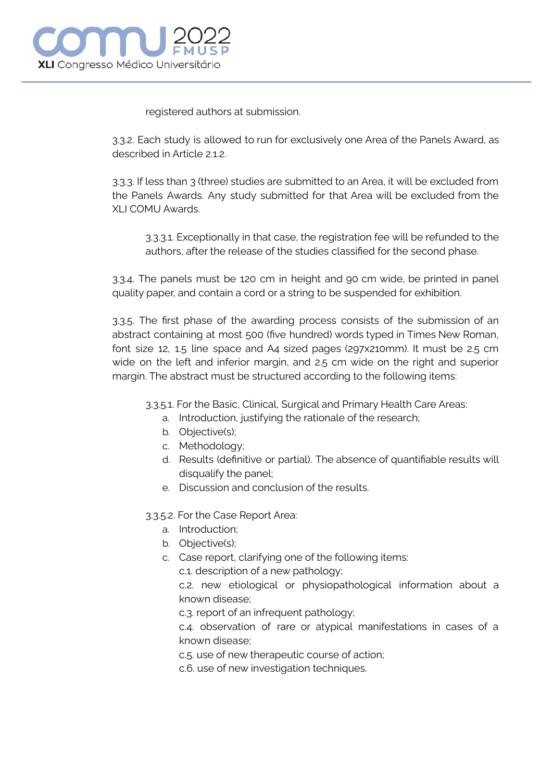registered authors at submission.

3.3.2. Each study is allowed to run for exclusively one Area of the Panels Award, as described in Article 2.1.2.

3.3.3. If less than 3 (three) studies are submitted to an Area, it will be excluded from the Panels Awards. Any study submitted for that Area will be excluded from the XLI COMU Awards.

3.3.3.1. Exceptionally in that case, the registration fee will be refunded to the authors, after the release of the studies classified for the second phase.

3.3.4. The panels must be 120 cm in height and 90 cm wide, be printed in panel quality paper, and contain a cord or a string to be suspended for exhibition.

3.3.5. The first phase of the awarding process consists of the submission of an abstract containing at most 500 (five hundred) words typed in Times New Roman, font size 12, 1.5 line space and A4 sized pages (297x210mm). It must be 2.5 cm wide on the left and inferior margin, and 2.5 cm wide on the right and superior margin. The abstract must be structured according to the following items:

3.3.5.1. For the Basic, Clinical, Surgical and Primary Health Care Areas:

- a. Introduction, justifying the rationale of the research;
- b. Objective(s);
- c. Methodology;
- d. Results (definitive or partial). The absence of quantifiable results will disqualify the panel;
- e. Discussion and conclusion of the results.

3.3.5.2. For the Case Report Area:

- a. Introduction;
- b. Objective(s);
- c. Case report, clarifying one of the following items:

c.1. description of a new pathology;

c.2. new etiological or physiopathological information about a known disease;

c.3. report of an infrequent pathology;

c.4. observation of rare or atypical manifestations in cases of a known disease;

c.5. use of new therapeutic course of action;

c.6. use of new investigation techniques.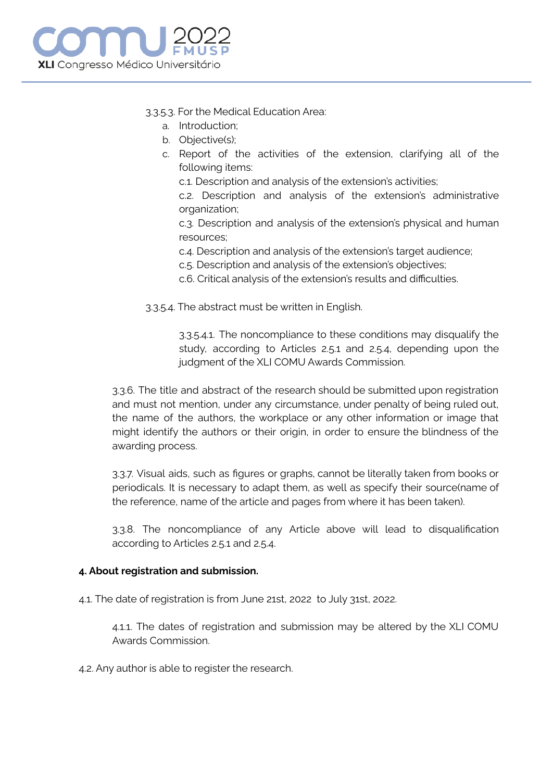

## 3.3.5.3. For the Medical Education Area:

- a. Introduction;
- b. Objective(s);
- c. Report of the activities of the extension, clarifying all of the following items:

c.1. Description and analysis of the extension's activities;

c.2. Description and analysis of the extension's administrative organization;

c.3. Description and analysis of the extension's physical and human resources;

- c.4. Description and analysis of the extension's target audience;
- c.5. Description and analysis of the extension's objectives;
- c.6. Critical analysis of the extension's results and difficulties.

3.3.5.4. The abstract must be written in English.

3.3.5.4.1. The noncompliance to these conditions may disqualify the study, according to Articles 2.5.1 and 2.5.4, depending upon the judgment of the XLI COMU Awards Commission.

3.3.6. The title and abstract of the research should be submitted upon registration and must not mention, under any circumstance, under penalty of being ruled out, the name of the authors, the workplace or any other information or image that might identify the authors or their origin, in order to ensure the blindness of the awarding process.

3.3.7. Visual aids, such as figures or graphs, cannot be literally taken from books or periodicals. It is necessary to adapt them, as well as specify their source(name of the reference, name of the article and pages from where it has been taken).

3.3.8. The noncompliance of any Article above will lead to disqualification according to Articles 2.5.1 and 2.5.4.

#### **4. About registration and submission.**

4.1. The date of registration is from June 21st, 2022 to July 31st, 2022.

4.1.1. The dates of registration and submission may be altered by the XLI COMU Awards Commission.

4.2. Any author is able to register the research.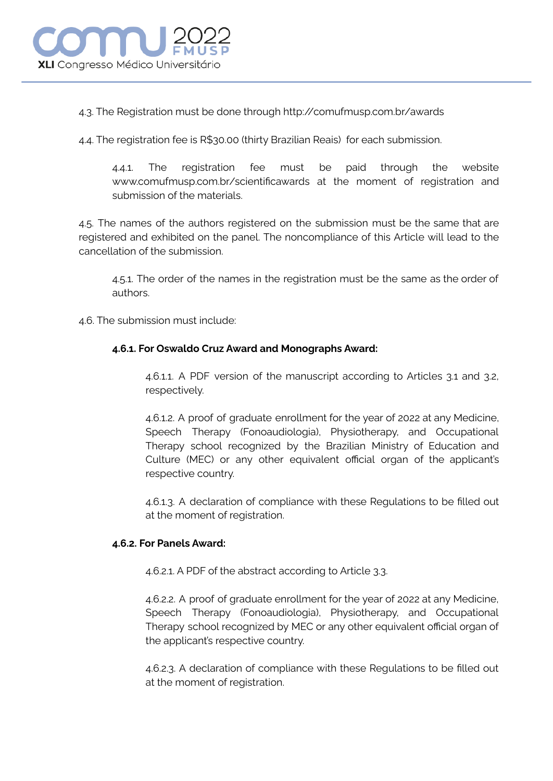

4.3. The Registration must be done through http://comufmusp.com.br/awards

4.4. The registration fee is R\$30.00 (thirty Brazilian Reais) for each submission.

4.4.1. The registration fee must be paid through the website www.comufmusp.com.br/scientificawards at the moment of registration and submission of the materials.

4.5. The names of the authors registered on the submission must be the same that are registered and exhibited on the panel. The noncompliance of this Article will lead to the cancellation of the submission.

4.5.1. The order of the names in the registration must be the same as the order of authors.

4.6. The submission must include:

## **4.6.1. For Oswaldo Cruz Award and Monographs Award:**

4.6.1.1. A PDF version of the manuscript according to Articles 3.1 and 3.2, respectively.

4.6.1.2. A proof of graduate enrollment for the year of 2022 at any Medicine, Speech Therapy (Fonoaudiologia), Physiotherapy, and Occupational Therapy school recognized by the Brazilian Ministry of Education and Culture (MEC) or any other equivalent official organ of the applicant's respective country.

4.6.1.3. A declaration of compliance with these Regulations to be filled out at the moment of registration.

## **4.6.2. For Panels Award:**

4.6.2.1. A PDF of the abstract according to Article 3.3.

4.6.2.2. A proof of graduate enrollment for the year of 2022 at any Medicine, Speech Therapy (Fonoaudiologia), Physiotherapy, and Occupational Therapy school recognized by MEC or any other equivalent official organ of the applicant's respective country.

4.6.2.3. A declaration of compliance with these Regulations to be filled out at the moment of registration.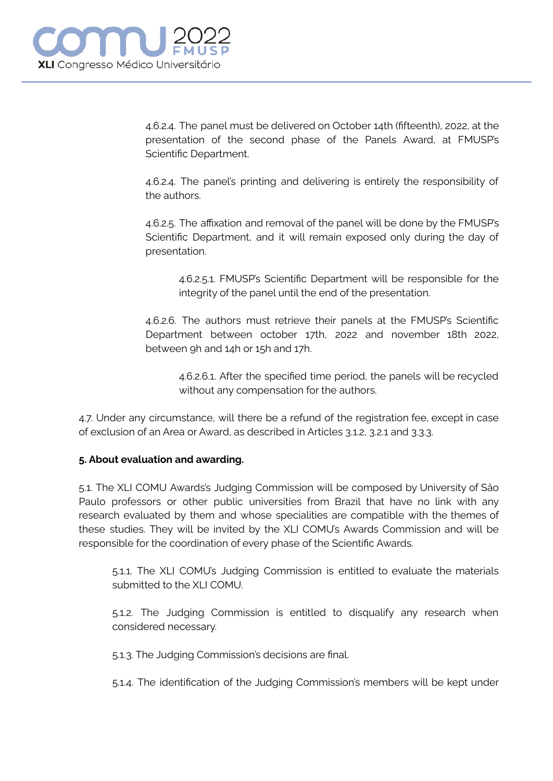4.6.2.4. The panel must be delivered on October 14th (fifteenth), 2022, at the presentation of the second phase of the Panels Award, at FMUSP's Scientific Department.

4.6.2.4. The panel's printing and delivering is entirely the responsibility of the authors.

4.6.2.5. The affixation and removal of the panel will be done by the FMUSP's Scientific Department, and it will remain exposed only during the day of presentation.

4.6.2.5.1. FMUSP's Scientific Department will be responsible for the integrity of the panel until the end of the presentation.

4.6.2.6. The authors must retrieve their panels at the FMUSP's Scientific Department between october 17th, 2022 and november 18th 2022, between 9h and 14h or 15h and 17h.

4.6.2.6.1. After the specified time period, the panels will be recycled without any compensation for the authors.

4.7. Under any circumstance, will there be a refund of the registration fee, except in case of exclusion of an Area or Award, as described in Articles 3.1.2, 3.2.1 and 3.3.3.

# **5. About evaluation and awarding.**

5.1. The XLI COMU Awards's Judging Commission will be composed by University of Sâo Paulo professors or other public universities from Brazil that have no link with any research evaluated by them and whose specialities are compatible with the themes of these studies. They will be invited by the XLI COMU's Awards Commission and will be responsible for the coordination of every phase of the Scientific Awards.

5.1.1. The XLI COMU's Judging Commission is entitled to evaluate the materials submitted to the XLI COMU.

5.1.2. The Judging Commission is entitled to disqualify any research when considered necessary.

5.1.3. The Judging Commission's decisions are final.

5.1.4. The identification of the Judging Commission's members will be kept under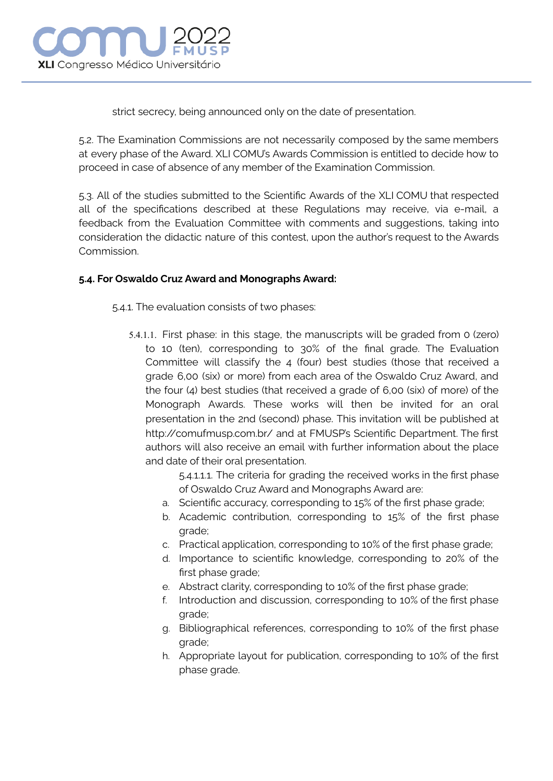

strict secrecy, being announced only on the date of presentation.

5.2. The Examination Commissions are not necessarily composed by the same members at every phase of the Award. XLI COMU's Awards Commission is entitled to decide how to proceed in case of absence of any member of the Examination Commission.

5.3. All of the studies submitted to the Scientific Awards of the XLI COMU that respected all of the specifications described at these Regulations may receive, via e-mail, a feedback from the Evaluation Committee with comments and suggestions, taking into consideration the didactic nature of this contest, upon the author's request to the Awards Commission.

# **5.4. For Oswaldo Cruz Award and Monographs Award:**

5.4.1. The evaluation consists of two phases:

5.4.1.1. First phase: in this stage, the manuscripts will be graded from 0 (zero) to 10 (ten), corresponding to 30% of the final grade. The Evaluation Committee will classify the 4 (four) best studies (those that received a grade 6,00 (six) or more) from each area of the Oswaldo Cruz Award, and the four (4) best studies (that received a grade of 6,00 (six) of more) of the Monograph Awards. These works will then be invited for an oral presentation in the 2nd (second) phase. This invitation will be published at http://comufmusp.com.br/ and at FMUSP's Scientific Department. The first authors will also receive an email with further information about the place and date of their oral presentation.

> 5.4.1.1.1. The criteria for grading the received works in the first phase of Oswaldo Cruz Award and Monographs Award are:

- a. Scientific accuracy, corresponding to 15% of the first phase grade;
- b. Academic contribution, corresponding to 15% of the first phase grade;
- c. Practical application, corresponding to 10% of the first phase grade;
- d. Importance to scientific knowledge, corresponding to 20% of the first phase grade;
- e. Abstract clarity, corresponding to 10% of the first phase grade;
- f. Introduction and discussion, corresponding to 10% of the first phase grade;
- g. Bibliographical references, corresponding to 10% of the first phase grade;
- h. Appropriate layout for publication, corresponding to 10% of the first phase grade.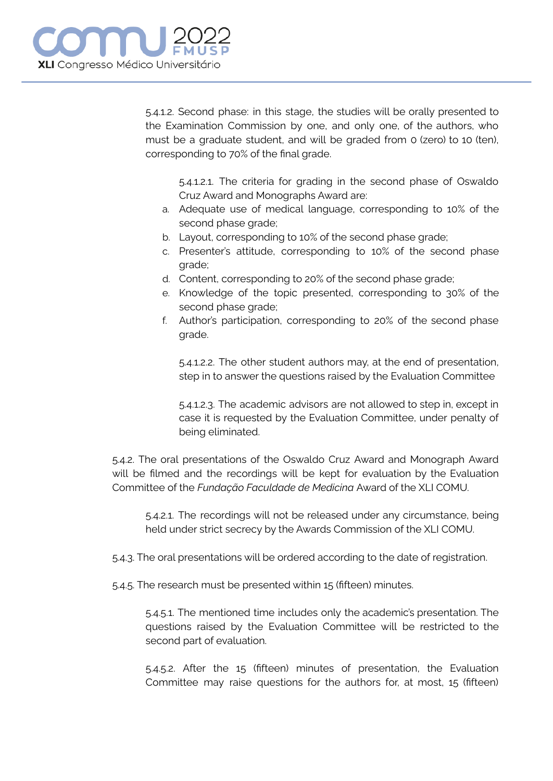5.4.1.2. Second phase: in this stage, the studies will be orally presented to the Examination Commission by one, and only one, of the authors, who must be a graduate student, and will be graded from 0 (zero) to 10 (ten), corresponding to 70% of the final grade.

5.4.1.2.1. The criteria for grading in the second phase of Oswaldo Cruz Award and Monographs Award are:

- a. Adequate use of medical language, corresponding to 10% of the second phase grade;
- b. Layout, corresponding to 10% of the second phase grade;
- c. Presenter's attitude, corresponding to 10% of the second phase grade;
- d. Content, corresponding to 20% of the second phase grade;
- e. Knowledge of the topic presented, corresponding to 30% of the second phase grade;
- f. Author's participation, corresponding to 20% of the second phase grade.

5.4.1.2.2. The other student authors may, at the end of presentation, step in to answer the questions raised by the Evaluation Committee

5.4.1.2.3. The academic advisors are not allowed to step in, except in case it is requested by the Evaluation Committee, under penalty of being eliminated.

5.4.2. The oral presentations of the Oswaldo Cruz Award and Monograph Award will be filmed and the recordings will be kept for evaluation by the Evaluation Committee of the *Fundação Faculdade de Medicina* Award of the XLI COMU.

5.4.2.1. The recordings will not be released under any circumstance, being held under strict secrecy by the Awards Commission of the XLI COMU.

- 5.4.3. The oral presentations will be ordered according to the date of registration.
- 5.4.5. The research must be presented within 15 (fifteen) minutes.

5.4.5.1. The mentioned time includes only the academic's presentation. The questions raised by the Evaluation Committee will be restricted to the second part of evaluation.

5.4.5.2. After the 15 (fifteen) minutes of presentation, the Evaluation Committee may raise questions for the authors for, at most, 15 (fifteen)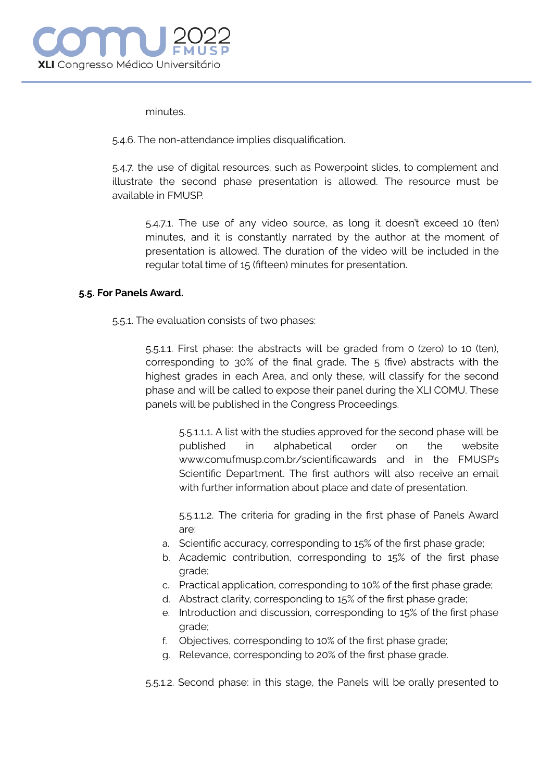minutes.

5.4.6. The non-attendance implies disqualification.

5.4.7. the use of digital resources, such as Powerpoint slides, to complement and illustrate the second phase presentation is allowed. The resource must be available in FMUSP.

5.4.7.1. The use of any video source, as long it doesn't exceed 10 (ten) minutes, and it is constantly narrated by the author at the moment of presentation is allowed. The duration of the video will be included in the regular total time of 15 (fifteen) minutes for presentation.

#### **5.5. For Panels Award.**

5.5.1. The evaluation consists of two phases:

5.5.1.1. First phase: the abstracts will be graded from 0 (zero) to 10 (ten), corresponding to 30% of the final grade. The 5 (five) abstracts with the highest grades in each Area, and only these, will classify for the second phase and will be called to expose their panel during the XLI COMU. These panels will be published in the Congress Proceedings.

5.5.1.1.1. A list with the studies approved for the second phase will be published in alphabetical order on the website www.comufmusp.com.br/scientificawards and in the FMUSP's Scientific Department. The first authors will also receive an email with further information about place and date of presentation.

5.5.1.1.2. The criteria for grading in the first phase of Panels Award are:

- a. Scientific accuracy, corresponding to 15% of the first phase grade;
- b. Academic contribution, corresponding to 15% of the first phase grade;
- c. Practical application, corresponding to 10% of the first phase grade;
- d. Abstract clarity, corresponding to 15% of the first phase grade;
- e. Introduction and discussion, corresponding to 15% of the first phase grade;
- f. Objectives, corresponding to 10% of the first phase grade;
- g. Relevance, corresponding to 20% of the first phase grade.

5.5.1.2. Second phase: in this stage, the Panels will be orally presented to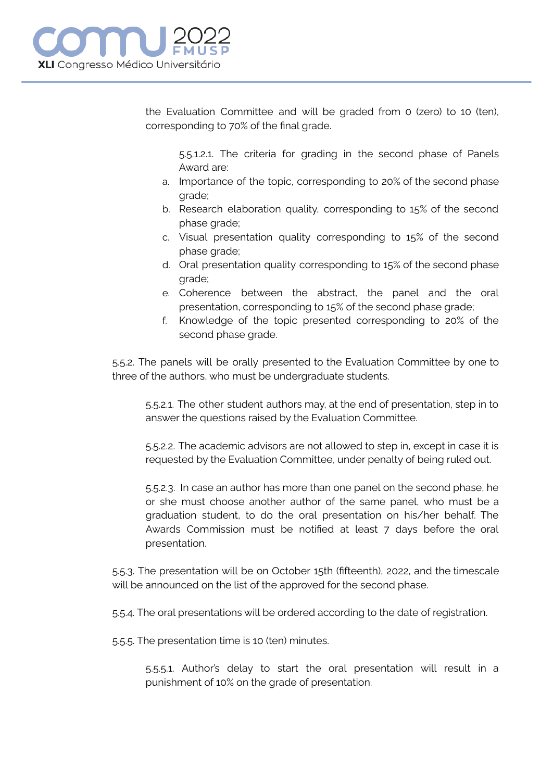

the Evaluation Committee and will be graded from 0 (zero) to 10 (ten), corresponding to 70% of the final grade.

5.5.1.2.1. The criteria for grading in the second phase of Panels Award are:

- a. Importance of the topic, corresponding to 20% of the second phase grade;
- b. Research elaboration quality, corresponding to 15% of the second phase grade;
- c. Visual presentation quality corresponding to 15% of the second phase grade;
- d. Oral presentation quality corresponding to 15% of the second phase grade;
- e. Coherence between the abstract, the panel and the oral presentation, corresponding to 15% of the second phase grade;
- f. Knowledge of the topic presented corresponding to 20% of the second phase grade.

5.5.2. The panels will be orally presented to the Evaluation Committee by one to three of the authors, who must be undergraduate students.

5.5.2.1. The other student authors may, at the end of presentation, step in to answer the questions raised by the Evaluation Committee.

5.5.2.2. The academic advisors are not allowed to step in, except in case it is requested by the Evaluation Committee, under penalty of being ruled out.

5.5.2.3. In case an author has more than one panel on the second phase, he or she must choose another author of the same panel, who must be a graduation student, to do the oral presentation on his/her behalf. The Awards Commission must be notified at least 7 days before the oral presentation.

5.5.3. The presentation will be on October 15th (fifteenth), 2022, and the timescale will be announced on the list of the approved for the second phase.

5.5.4. The oral presentations will be ordered according to the date of registration.

5.5.5. The presentation time is 10 (ten) minutes.

5.5.5.1. Author's delay to start the oral presentation will result in a punishment of 10% on the grade of presentation.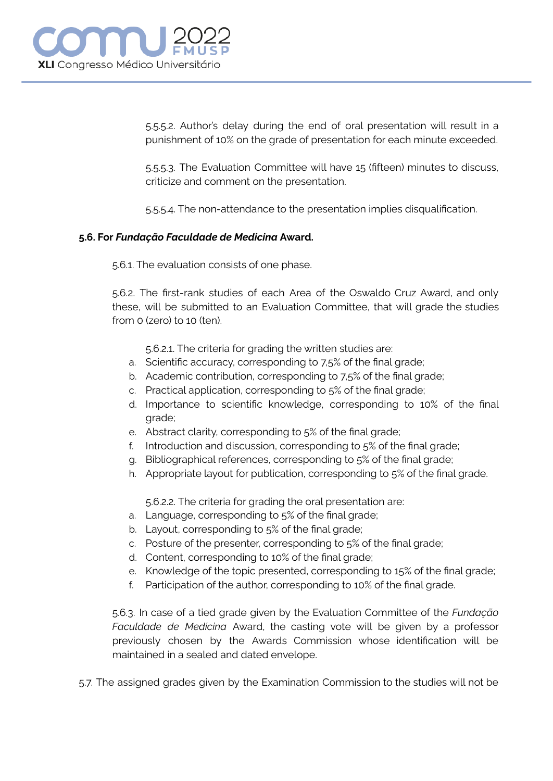

5.5.5.2. Author's delay during the end of oral presentation will result in a punishment of 10% on the grade of presentation for each minute exceeded.

5.5.5.3. The Evaluation Committee will have 15 (fifteen) minutes to discuss, criticize and comment on the presentation.

5.5.5.4. The non-attendance to the presentation implies disqualification.

#### **5.6. For** *Fundação Faculdade de Medicina* **Award.**

5.6.1. The evaluation consists of one phase.

5.6.2. The first-rank studies of each Area of the Oswaldo Cruz Award, and only these, will be submitted to an Evaluation Committee, that will grade the studies from 0 (zero) to 10 (ten).

5.6.2.1. The criteria for grading the written studies are:

- a. Scientific accuracy, corresponding to 7,5% of the final grade;
- b. Academic contribution, corresponding to 7,5% of the final grade;
- c. Practical application, corresponding to 5% of the final grade;
- d. Importance to scientific knowledge, corresponding to 10% of the final grade;
- e. Abstract clarity, corresponding to 5% of the final grade;
- f. Introduction and discussion, corresponding to 5% of the final grade;
- g. Bibliographical references, corresponding to 5% of the final grade;
- h. Appropriate layout for publication, corresponding to 5% of the final grade.

5.6.2.2. The criteria for grading the oral presentation are:

- a. Language, corresponding to 5% of the final grade;
- b. Layout, corresponding to 5% of the final grade;
- c. Posture of the presenter, corresponding to 5% of the final grade;
- d. Content, corresponding to 10% of the final grade;
- e. Knowledge of the topic presented, corresponding to 15% of the final grade;
- f. Participation of the author, corresponding to 10% of the final grade.

5.6.3. In case of a tied grade given by the Evaluation Committee of the *Fundação Faculdade de Medicina* Award, the casting vote will be given by a professor previously chosen by the Awards Commission whose identification will be maintained in a sealed and dated envelope.

5.7. The assigned grades given by the Examination Commission to the studies will not be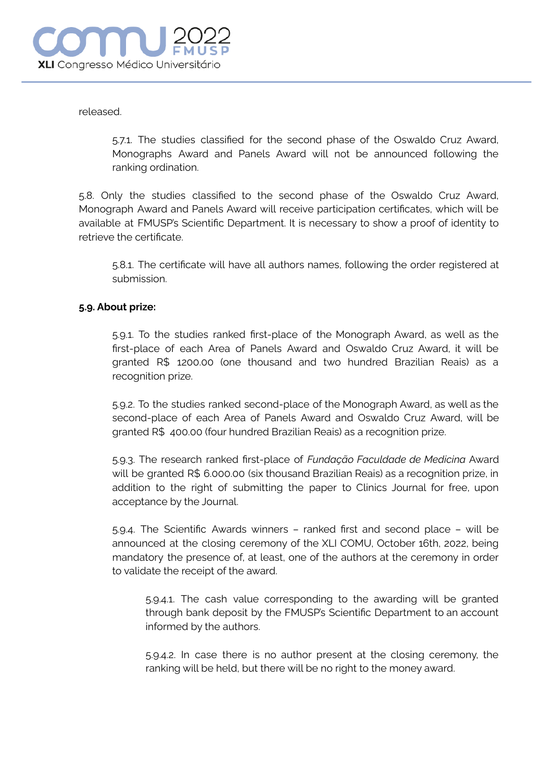released.

5.7.1. The studies classified for the second phase of the Oswaldo Cruz Award, Monographs Award and Panels Award will not be announced following the ranking ordination.

5.8. Only the studies classified to the second phase of the Oswaldo Cruz Award, Monograph Award and Panels Award will receive participation certificates, which will be available at FMUSP's Scientific Department. It is necessary to show a proof of identity to retrieve the certificate.

5.8.1. The certificate will have all authors names, following the order registered at submission.

## **5.9. About prize:**

5.9.1. To the studies ranked first-place of the Monograph Award, as well as the first-place of each Area of Panels Award and Oswaldo Cruz Award, it will be granted R\$ 1200.00 (one thousand and two hundred Brazilian Reais) as a recognition prize.

5.9.2. To the studies ranked second-place of the Monograph Award, as well as the second-place of each Area of Panels Award and Oswaldo Cruz Award, will be granted R\$ 400.00 (four hundred Brazilian Reais) as a recognition prize.

5.9.3. The research ranked first-place of *Fundação Faculdade de Medicina* Award will be granted R\$ 6.000.00 (six thousand Brazilian Reais) as a recognition prize, in addition to the right of submitting the paper to Clinics Journal for free, upon acceptance by the Journal.

5.9.4. The Scientific Awards winners – ranked first and second place – will be announced at the closing ceremony of the XLI COMU, October 16th, 2022, being mandatory the presence of, at least, one of the authors at the ceremony in order to validate the receipt of the award.

5.9.4.1. The cash value corresponding to the awarding will be granted through bank deposit by the FMUSP's Scientific Department to an account informed by the authors.

5.9.4.2. In case there is no author present at the closing ceremony, the ranking will be held, but there will be no right to the money award.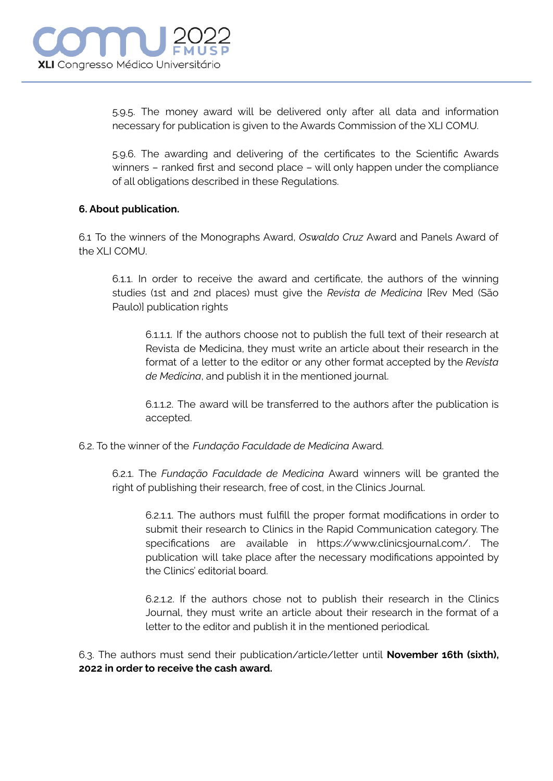

5.9.5. The money award will be delivered only after all data and information necessary for publication is given to the Awards Commission of the XLI COMU.

5.9.6. The awarding and delivering of the certificates to the Scientific Awards winners – ranked first and second place – will only happen under the compliance of all obligations described in these Regulations.

## **6. About publication.**

6.1 To the winners of the Monographs Award, *Oswaldo Cruz* Award and Panels Award of the XLI COMU.

6.1.1. In order to receive the award and certificate, the authors of the winning studies (1st and 2nd places) must give the *Revista de Medicina* [Rev Med (São Paulo)] publication rights

6.1.1.1. If the authors choose not to publish the full text of their research at Revista de Medicina, they must write an article about their research in the format of a letter to the editor or any other format accepted by the *Revista de Medicina*, and publish it in the mentioned journal.

6.1.1.2. The award will be transferred to the authors after the publication is accepted.

6.2. To the winner of the *Fundação Faculdade de Medicina* Award.

6.2.1. The *Fundação Faculdade de Medicina* Award winners will be granted the right of publishing their research, free of cost, in the Clinics Journal.

6.2.1.1. The authors must fulfill the proper format modifications in order to submit their research to Clinics in the Rapid Communication category. The specifications are available in https://www.clinicsjournal.com/. The publication will take place after the necessary modifications appointed by the Clinics' editorial board.

6.2.1.2. If the authors chose not to publish their research in the Clinics Journal, they must write an article about their research in the format of a letter to the editor and publish it in the mentioned periodical.

6.3. The authors must send their publication/article/letter until **November 16th (sixth), 2022 in order to receive the cash award.**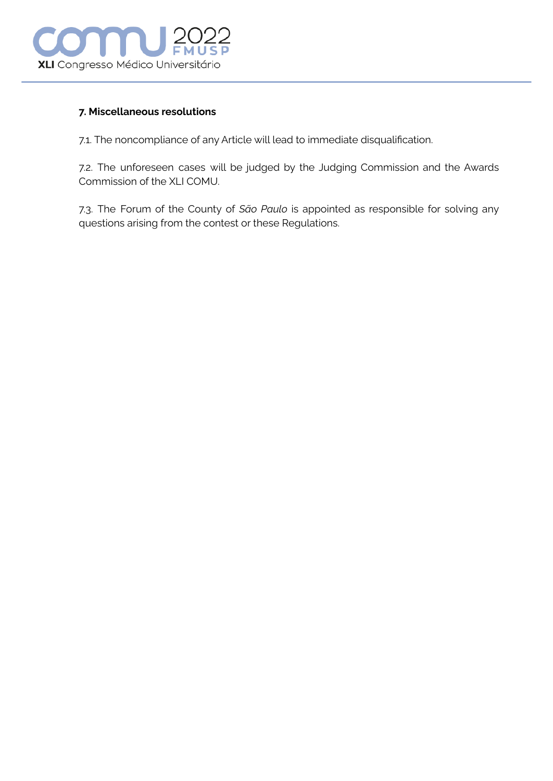

#### **7. Miscellaneous resolutions**

7.1. The noncompliance of any Article will lead to immediate disqualification.

7.2. The unforeseen cases will be judged by the Judging Commission and the Awards Commission of the XLI COMU.

7.3. The Forum of the County of *São Paulo* is appointed as responsible for solving any questions arising from the contest or these Regulations.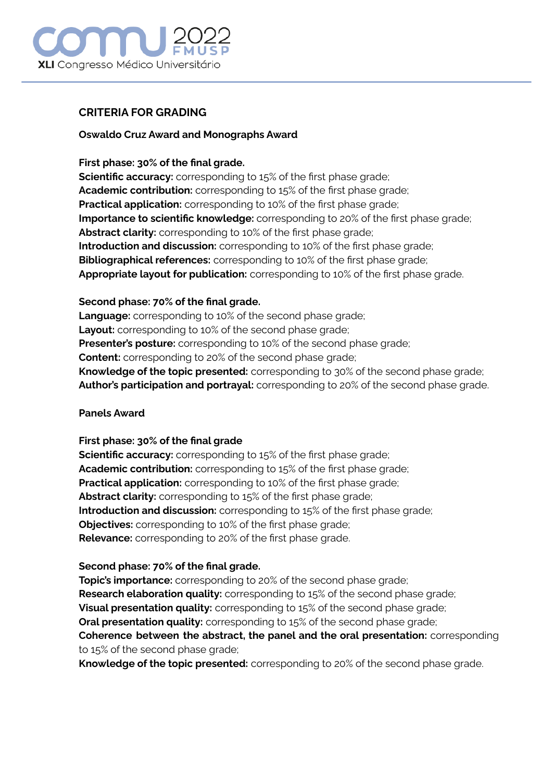# **XLI** Congresso Médico Universitário

# **CRITERIA FOR GRADING**

## **Oswaldo Cruz Award and Monographs Award**

## **First phase: 30% of the final grade.**

**Scientific accuracy:** corresponding to 15% of the first phase grade; **Academic contribution:** corresponding to 15% of the first phase grade; **Practical application:** corresponding to 10% of the first phase grade; **Importance to scientific knowledge:** corresponding to 20% of the first phase grade; **Abstract clarity:** corresponding to 10% of the first phase grade; **Introduction and discussion:** corresponding to 10% of the first phase grade; **Bibliographical references:** corresponding to 10% of the first phase grade; **Appropriate layout for publication:** corresponding to 10% of the first phase grade.

## **Second phase: 70% of the final grade.**

**Language:** corresponding to 10% of the second phase grade; **Layout:** corresponding to 10% of the second phase grade; **Presenter's posture:** corresponding to 10% of the second phase grade; **Content:** corresponding to 20% of the second phase grade; **Knowledge of the topic presented:** corresponding to 30% of the second phase grade; **Author's participation and portrayal:** corresponding to 20% of the second phase grade.

# **Panels Award**

# **First phase: 30% of the final grade**

**Scientific accuracy:** corresponding to 15% of the first phase grade; **Academic contribution:** corresponding to 15% of the first phase grade; **Practical application:** corresponding to 10% of the first phase grade; **Abstract clarity:** corresponding to 15% of the first phase grade; **Introduction and discussion:** corresponding to 15% of the first phase grade; **Objectives:** corresponding to 10% of the first phase grade; **Relevance:** corresponding to 20% of the first phase grade.

# **Second phase: 70% of the final grade.**

**Topic's importance:** corresponding to 20% of the second phase grade; **Research elaboration quality:** corresponding to 15% of the second phase grade; **Visual presentation quality:** corresponding to 15% of the second phase grade; **Oral presentation quality:** corresponding to 15% of the second phase grade; **Coherence between the abstract, the panel and the oral presentation:** corresponding to 15% of the second phase grade;

**Knowledge of the topic presented:** corresponding to 20% of the second phase grade.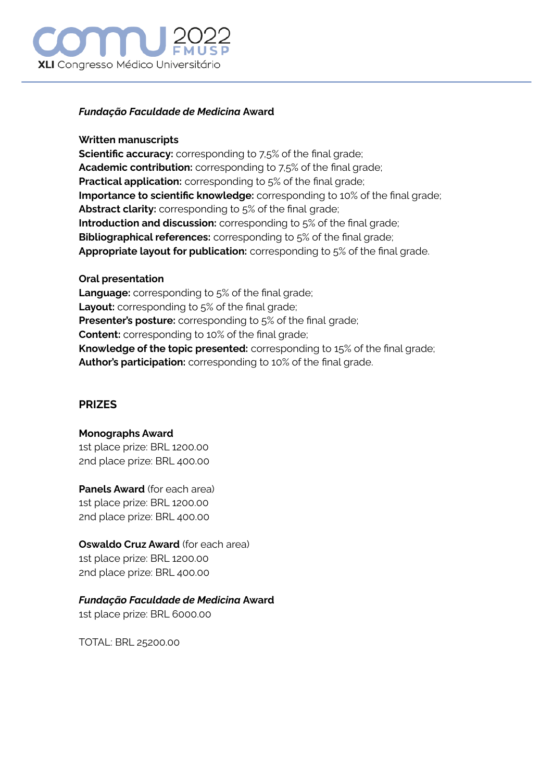# **XLI** Congresso Médico Universitário

## *Fundação Faculdade de Medicina* **Award**

## **Written manuscripts**

**Scientific accuracy:** corresponding to 7,5% of the final grade; **Academic contribution:** corresponding to 7,5% of the final grade; **Practical application:** corresponding to 5% of the final grade; **Importance to scientific knowledge:** corresponding to 10% of the final grade; **Abstract clarity:** corresponding to 5% of the final grade; **Introduction and discussion:** corresponding to 5% of the final grade; **Bibliographical references:** corresponding to 5% of the final grade; **Appropriate layout for publication:** corresponding to 5% of the final grade.

## **Oral presentation**

**Language:** corresponding to 5% of the final grade; **Layout:** corresponding to 5% of the final grade; **Presenter's posture:** corresponding to 5% of the final grade; **Content:** corresponding to 10% of the final grade; **Knowledge of the topic presented:** corresponding to 15% of the final grade; **Author's participation:** corresponding to 10% of the final grade.

# **PRIZES**

**Monographs Award** 1st place prize: BRL 1200.00 2nd place prize: BRL 400.00

**Panels Award** (for each area) 1st place prize: BRL 1200.00 2nd place prize: BRL 400.00

# **Oswaldo Cruz Award** (for each area)

1st place prize: BRL 1200.00 2nd place prize: BRL 400.00

# *Fundação Faculdade de Medicina* **Award**

1st place prize: BRL 6000.00

TOTAL: BRL 25200.00